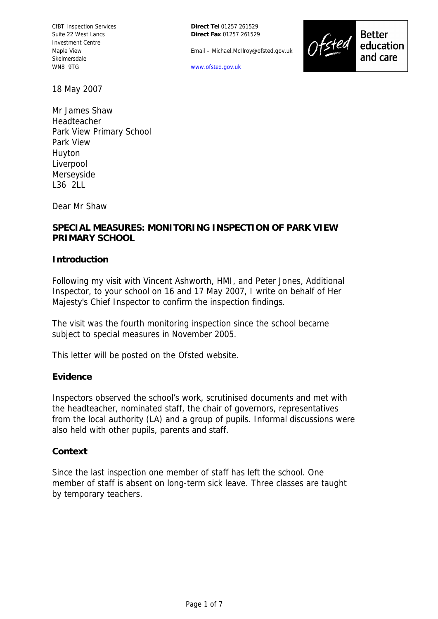CfBT Inspection Services Suite 22 West Lancs Investment Centre Maple View Skelmersdale WN8 9TG

**Direct Tel** 01257 261529 **Direct Fax** 01257 261529

Email – Michael.McIlroy@ofsted.gov.uk



**Better** education and care

18 May 2007

Mr James Shaw Headteacher Park View Primary School Park View Huyton Liverpool Merseyside L36 2LL

Dear Mr Shaw

## **SPECIAL MEASURES: MONITORING INSPECTION OF PARK VIEW PRIMARY SCHOOL**

#### **Introduction**

Following my visit with Vincent Ashworth, HMI, and Peter Jones, Additional Inspector, to your school on 16 and 17 May 2007, I write on behalf of Her Majesty's Chief Inspector to confirm the inspection findings.

The visit was the fourth monitoring inspection since the school became subject to special measures in November 2005.

This letter will be posted on the Ofsted website.

#### **Evidence**

Inspectors observed the school's work, scrutinised documents and met with the headteacher, nominated staff, the chair of governors, representatives from the local authority (LA) and a group of pupils. Informal discussions were also held with other pupils, parents and staff.

#### **Context**

Since the last inspection one member of staff has left the school. One member of staff is absent on long-term sick leave. Three classes are taught by temporary teachers.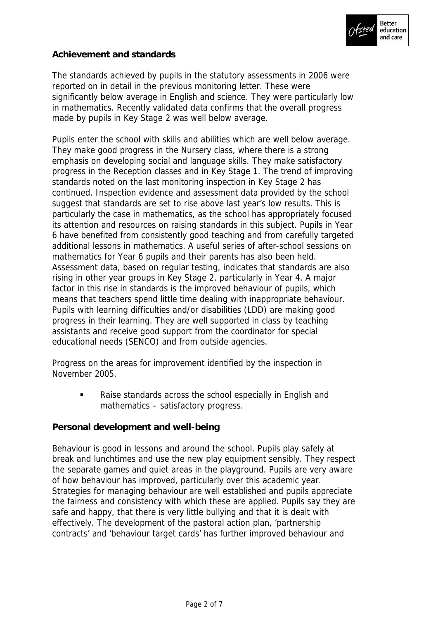

## **Achievement and standards**

The standards achieved by pupils in the statutory assessments in 2006 were reported on in detail in the previous monitoring letter. These were significantly below average in English and science. They were particularly low in mathematics. Recently validated data confirms that the overall progress made by pupils in Key Stage 2 was well below average.

Pupils enter the school with skills and abilities which are well below average. They make good progress in the Nursery class, where there is a strong emphasis on developing social and language skills. They make satisfactory progress in the Reception classes and in Key Stage 1. The trend of improving standards noted on the last monitoring inspection in Key Stage 2 has continued. Inspection evidence and assessment data provided by the school suggest that standards are set to rise above last year's low results. This is particularly the case in mathematics, as the school has appropriately focused its attention and resources on raising standards in this subject. Pupils in Year 6 have benefited from consistently good teaching and from carefully targeted additional lessons in mathematics. A useful series of after-school sessions on mathematics for Year 6 pupils and their parents has also been held. Assessment data, based on regular testing, indicates that standards are also rising in other year groups in Key Stage 2, particularly in Year 4. A major factor in this rise in standards is the improved behaviour of pupils, which means that teachers spend little time dealing with inappropriate behaviour. Pupils with learning difficulties and/or disabilities (LDD) are making good progress in their learning. They are well supported in class by teaching assistants and receive good support from the coordinator for special educational needs (SENCO) and from outside agencies.

Progress on the areas for improvement identified by the inspection in November 2005.

• Raise standards across the school especially in English and mathematics – satisfactory progress.

**Personal development and well-being**

Behaviour is good in lessons and around the school. Pupils play safely at break and lunchtimes and use the new play equipment sensibly. They respect the separate games and quiet areas in the playground. Pupils are very aware of how behaviour has improved, particularly over this academic year. Strategies for managing behaviour are well established and pupils appreciate the fairness and consistency with which these are applied. Pupils say they are safe and happy, that there is very little bullying and that it is dealt with effectively. The development of the pastoral action plan, 'partnership contracts' and 'behaviour target cards' has further improved behaviour and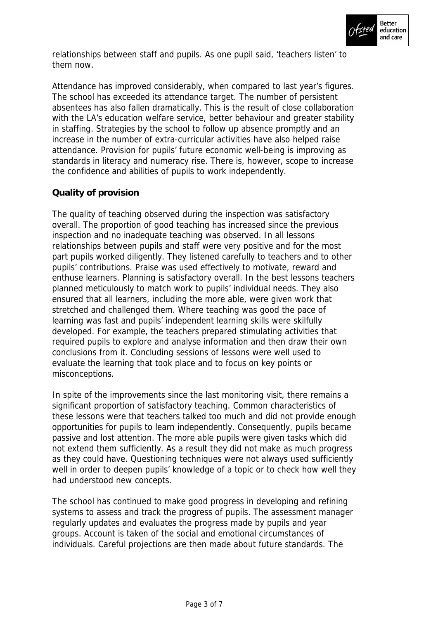

relationships between staff and pupils. As one pupil said, 'teachers listen' to them now.

Attendance has improved considerably, when compared to last year's figures. The school has exceeded its attendance target. The number of persistent absentees has also fallen dramatically. This is the result of close collaboration with the LA's education welfare service, better behaviour and greater stability in staffing. Strategies by the school to follow up absence promptly and an increase in the number of extra-curricular activities have also helped raise attendance. Provision for pupils' future economic well-being is improving as standards in literacy and numeracy rise. There is, however, scope to increase the confidence and abilities of pupils to work independently.

# **Quality of provision**

The quality of teaching observed during the inspection was satisfactory overall. The proportion of good teaching has increased since the previous inspection and no inadequate teaching was observed. In all lessons relationships between pupils and staff were very positive and for the most part pupils worked diligently. They listened carefully to teachers and to other pupils' contributions. Praise was used effectively to motivate, reward and enthuse learners. Planning is satisfactory overall. In the best lessons teachers planned meticulously to match work to pupils' individual needs. They also ensured that all learners, including the more able, were given work that stretched and challenged them. Where teaching was good the pace of learning was fast and pupils' independent learning skills were skilfully developed. For example, the teachers prepared stimulating activities that required pupils to explore and analyse information and then draw their own conclusions from it. Concluding sessions of lessons were well used to evaluate the learning that took place and to focus on key points or misconceptions.

In spite of the improvements since the last monitoring visit, there remains a significant proportion of satisfactory teaching. Common characteristics of these lessons were that teachers talked too much and did not provide enough opportunities for pupils to learn independently. Consequently, pupils became passive and lost attention. The more able pupils were given tasks which did not extend them sufficiently. As a result they did not make as much progress as they could have. Questioning techniques were not always used sufficiently well in order to deepen pupils' knowledge of a topic or to check how well they had understood new concepts.

The school has continued to make good progress in developing and refining systems to assess and track the progress of pupils. The assessment manager regularly updates and evaluates the progress made by pupils and year groups. Account is taken of the social and emotional circumstances of individuals. Careful projections are then made about future standards. The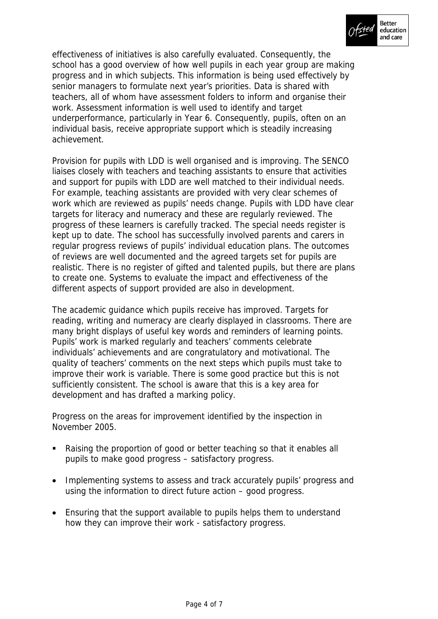

effectiveness of initiatives is also carefully evaluated. Consequently, the school has a good overview of how well pupils in each year group are making progress and in which subjects. This information is being used effectively by senior managers to formulate next year's priorities. Data is shared with teachers, all of whom have assessment folders to inform and organise their work. Assessment information is well used to identify and target underperformance, particularly in Year 6. Consequently, pupils, often on an individual basis, receive appropriate support which is steadily increasing achievement.

Provision for pupils with LDD is well organised and is improving. The SENCO liaises closely with teachers and teaching assistants to ensure that activities and support for pupils with LDD are well matched to their individual needs. For example, teaching assistants are provided with very clear schemes of work which are reviewed as pupils' needs change. Pupils with LDD have clear targets for literacy and numeracy and these are regularly reviewed. The progress of these learners is carefully tracked. The special needs register is kept up to date. The school has successfully involved parents and carers in regular progress reviews of pupils' individual education plans. The outcomes of reviews are well documented and the agreed targets set for pupils are realistic. There is no register of gifted and talented pupils, but there are plans to create one. Systems to evaluate the impact and effectiveness of the different aspects of support provided are also in development.

The academic guidance which pupils receive has improved. Targets for reading, writing and numeracy are clearly displayed in classrooms. There are many bright displays of useful key words and reminders of learning points. Pupils' work is marked regularly and teachers' comments celebrate individuals' achievements and are congratulatory and motivational. The quality of teachers' comments on the next steps which pupils must take to improve their work is variable. There is some good practice but this is not sufficiently consistent. The school is aware that this is a key area for development and has drafted a marking policy.

Progress on the areas for improvement identified by the inspection in November 2005.

- Raising the proportion of good or better teaching so that it enables all pupils to make good progress – satisfactory progress.
- Implementing systems to assess and track accurately pupils' progress and using the information to direct future action – good progress.
- Ensuring that the support available to pupils helps them to understand how they can improve their work - satisfactory progress.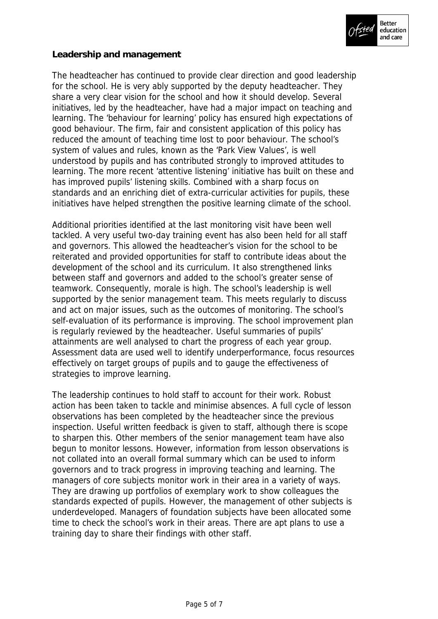

### **Leadership and management**

The headteacher has continued to provide clear direction and good leadership for the school. He is very ably supported by the deputy headteacher. They share a very clear vision for the school and how it should develop. Several initiatives, led by the headteacher, have had a major impact on teaching and learning. The 'behaviour for learning' policy has ensured high expectations of good behaviour. The firm, fair and consistent application of this policy has reduced the amount of teaching time lost to poor behaviour. The school's system of values and rules, known as the 'Park View Values', is well understood by pupils and has contributed strongly to improved attitudes to learning. The more recent 'attentive listening' initiative has built on these and has improved pupils' listening skills. Combined with a sharp focus on standards and an enriching diet of extra-curricular activities for pupils, these initiatives have helped strengthen the positive learning climate of the school.

Additional priorities identified at the last monitoring visit have been well tackled. A very useful two-day training event has also been held for all staff and governors. This allowed the headteacher's vision for the school to be reiterated and provided opportunities for staff to contribute ideas about the development of the school and its curriculum. It also strengthened links between staff and governors and added to the school's greater sense of teamwork. Consequently, morale is high. The school's leadership is well supported by the senior management team. This meets regularly to discuss and act on major issues, such as the outcomes of monitoring. The school's self-evaluation of its performance is improving. The school improvement plan is regularly reviewed by the headteacher. Useful summaries of pupils' attainments are well analysed to chart the progress of each year group. Assessment data are used well to identify underperformance, focus resources effectively on target groups of pupils and to gauge the effectiveness of strategies to improve learning.

The leadership continues to hold staff to account for their work. Robust action has been taken to tackle and minimise absences. A full cycle of lesson observations has been completed by the headteacher since the previous inspection. Useful written feedback is given to staff, although there is scope to sharpen this. Other members of the senior management team have also begun to monitor lessons. However, information from lesson observations is not collated into an overall formal summary which can be used to inform governors and to track progress in improving teaching and learning. The managers of core subjects monitor work in their area in a variety of ways. They are drawing up portfolios of exemplary work to show colleagues the standards expected of pupils. However, the management of other subjects is underdeveloped. Managers of foundation subjects have been allocated some time to check the school's work in their areas. There are apt plans to use a training day to share their findings with other staff.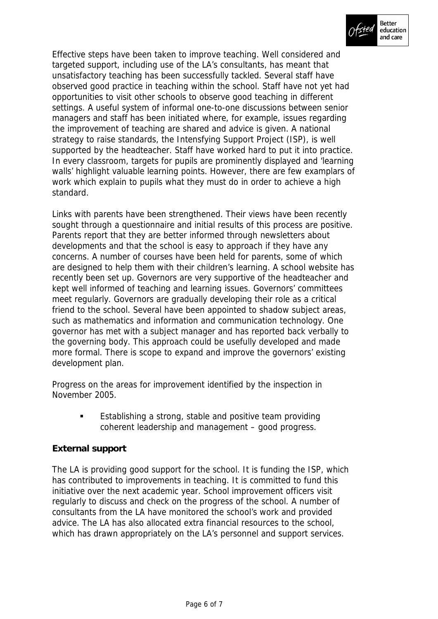

Effective steps have been taken to improve teaching. Well considered and targeted support, including use of the LA's consultants, has meant that unsatisfactory teaching has been successfully tackled. Several staff have observed good practice in teaching within the school. Staff have not yet had opportunities to visit other schools to observe good teaching in different settings. A useful system of informal one-to-one discussions between senior managers and staff has been initiated where, for example, issues regarding the improvement of teaching are shared and advice is given. A national strategy to raise standards, the Intensfying Support Project (ISP), is well supported by the headteacher. Staff have worked hard to put it into practice. In every classroom, targets for pupils are prominently displayed and 'learning walls' highlight valuable learning points. However, there are few examplars of work which explain to pupils what they must do in order to achieve a high standard.

Links with parents have been strengthened. Their views have been recently sought through a questionnaire and initial results of this process are positive. Parents report that they are better informed through newsletters about developments and that the school is easy to approach if they have any concerns. A number of courses have been held for parents, some of which are designed to help them with their children's learning. A school website has recently been set up. Governors are very supportive of the headteacher and kept well informed of teaching and learning issues. Governors' committees meet regularly. Governors are gradually developing their role as a critical friend to the school. Several have been appointed to shadow subject areas, such as mathematics and information and communication technology. One governor has met with a subject manager and has reported back verbally to the governing body. This approach could be usefully developed and made more formal. There is scope to expand and improve the governors' existing development plan.

Progress on the areas for improvement identified by the inspection in November 2005.

> **Establishing a strong, stable and positive team providing** coherent leadership and management – good progress.

# **External support**

The LA is providing good support for the school. It is funding the ISP, which has contributed to improvements in teaching. It is committed to fund this initiative over the next academic year. School improvement officers visit regularly to discuss and check on the progress of the school. A number of consultants from the LA have monitored the school's work and provided advice. The LA has also allocated extra financial resources to the school, which has drawn appropriately on the LA's personnel and support services.